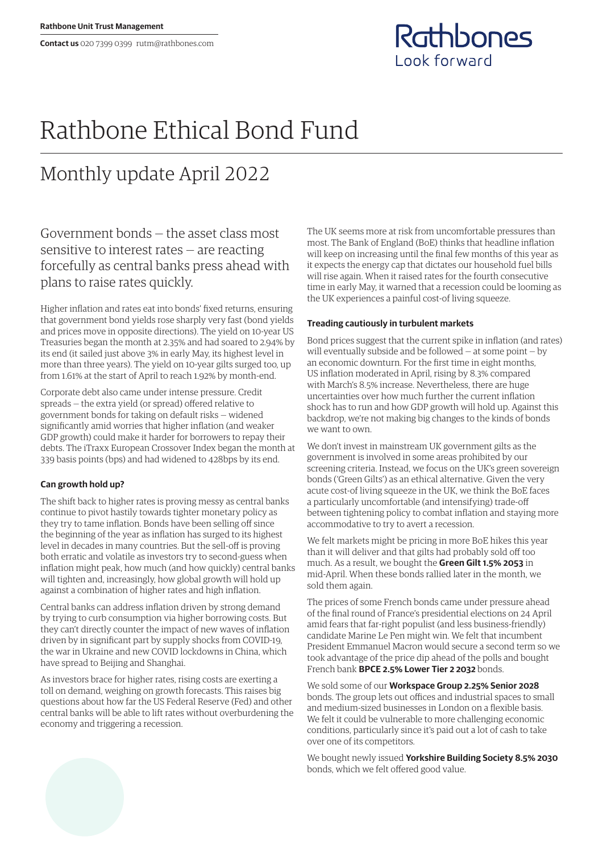**Contact us** 020 7399 0399 rutm@rathbones.com



# Rathbone Ethical Bond Fund

# Monthly update April 2022

Government bonds — the asset class most sensitive to interest rates — are reacting forcefully as central banks press ahead with plans to raise rates quickly.

Higher inflation and rates eat into bonds' fixed returns, ensuring that government bond yields rose sharply very fast (bond yields and prices move in opposite directions). The yield on 10-year US Treasuries began the month at 2.35% and had soared to 2.94% by its end (it sailed just above 3% in early May, its highest level in more than three years). The yield on 10-year gilts surged too, up from 1.61% at the start of April to reach 1.92% by month-end.

Corporate debt also came under intense pressure. Credit spreads — the extra yield (or spread) offered relative to government bonds for taking on default risks — widened significantly amid worries that higher inflation (and weaker GDP growth) could make it harder for borrowers to repay their debts. The iTraxx European Crossover Index began the month at 339 basis points (bps) and had widened to 428bps by its end.

## **Can growth hold up?**

The shift back to higher rates is proving messy as central banks continue to pivot hastily towards tighter monetary policy as they try to tame inflation. Bonds have been selling off since the beginning of the year as inflation has surged to its highest level in decades in many countries. But the sell-off is proving both erratic and volatile as investors try to second-guess when inflation might peak, how much (and how quickly) central banks will tighten and, increasingly, how global growth will hold up against a combination of higher rates and high inflation.

Central banks can address inflation driven by strong demand by trying to curb consumption via higher borrowing costs. But they can't directly counter the impact of new waves of inflation driven by in significant part by supply shocks from COVID-19, the war in Ukraine and new COVID lockdowns in China, which have spread to Beijing and Shanghai.

As investors brace for higher rates, rising costs are exerting a toll on demand, weighing on growth forecasts. This raises big questions about how far the US Federal Reserve (Fed) and other central banks will be able to lift rates without overburdening the economy and triggering a recession.

The UK seems more at risk from uncomfortable pressures than most. The Bank of England (BoE) thinks that headline inflation will keep on increasing until the final few months of this year as it expects the energy cap that dictates our household fuel bills will rise again. When it raised rates for the fourth consecutive time in early May, it warned that a recession could be looming as the UK experiences a painful cost-of living squeeze.

### **Treading cautiously in turbulent markets**

Bond prices suggest that the current spike in inflation (and rates) will eventually subside and be followed — at some point — by an economic downturn. For the first time in eight months, US inflation moderated in April, rising by 8.3% compared with March's 8.5% increase. Nevertheless, there are huge uncertainties over how much further the current inflation shock has to run and how GDP growth will hold up. Against this backdrop, we're not making big changes to the kinds of bonds we want to own.

We don't invest in mainstream UK government gilts as the government is involved in some areas prohibited by our screening criteria. Instead, we focus on the UK's green sovereign bonds ('Green Gilts') as an ethical alternative. Given the very acute cost-of living squeeze in the UK, we think the BoE faces a particularly uncomfortable (and intensifying) trade-off between tightening policy to combat inflation and staying more accommodative to try to avert a recession.

We felt markets might be pricing in more BoE hikes this year than it will deliver and that gilts had probably sold off too much. As a result, we bought the **Green Gilt 1.5% 2053** in mid-April. When these bonds rallied later in the month, we sold them again.

The prices of some French bonds came under pressure ahead of the final round of France's presidential elections on 24 April amid fears that far-right populist (and less business-friendly) candidate Marine Le Pen might win. We felt that incumbent President Emmanuel Macron would secure a second term so we took advantage of the price dip ahead of the polls and bought French bank **BPCE 2.5% Lower Tier 2 2032** bonds.

We sold some of our **Workspace Group 2.25% Senior 2028** bonds. The group lets out offices and industrial spaces to small and medium-sized businesses in London on a flexible basis. We felt it could be vulnerable to more challenging economic conditions, particularly since it's paid out a lot of cash to take over one of its competitors.

We bought newly issued **Yorkshire Building Society 8.5% 2030** bonds, which we felt offered good value.